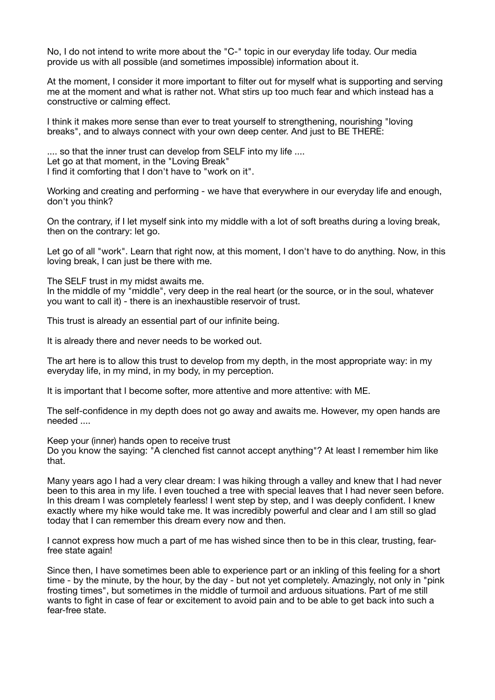No, I do not intend to write more about the "C-" topic in our everyday life today. Our media provide us with all possible (and sometimes impossible) information about it.

At the moment, I consider it more important to filter out for myself what is supporting and serving me at the moment and what is rather not. What stirs up too much fear and which instead has a constructive or calming effect.

I think it makes more sense than ever to treat yourself to strengthening, nourishing "loving breaks", and to always connect with your own deep center. And just to BE THERE:

.... so that the inner trust can develop from SELF into my life .... Let go at that moment, in the "Loving Break" I find it comforting that I don't have to "work on it".

Working and creating and performing - we have that everywhere in our everyday life and enough, don't you think?

On the contrary, if I let myself sink into my middle with a lot of soft breaths during a loving break, then on the contrary: let go.

Let go of all "work". Learn that right now, at this moment, I don't have to do anything. Now, in this loving break, I can just be there with me.

The SELF trust in my midst awaits me.

In the middle of my "middle", very deep in the real heart (or the source, or in the soul, whatever you want to call it) - there is an inexhaustible reservoir of trust.

This trust is already an essential part of our infinite being.

It is already there and never needs to be worked out.

The art here is to allow this trust to develop from my depth, in the most appropriate way: in my everyday life, in my mind, in my body, in my perception.

It is important that I become softer, more attentive and more attentive: with ME.

The self-confidence in my depth does not go away and awaits me. However, my open hands are needed ....

Keep your (inner) hands open to receive trust

Do you know the saying: "A clenched fist cannot accept anything"? At least I remember him like that.

Many years ago I had a very clear dream: I was hiking through a valley and knew that I had never been to this area in my life. I even touched a tree with special leaves that I had never seen before. In this dream I was completely fearless! I went step by step, and I was deeply confident. I knew exactly where my hike would take me. It was incredibly powerful and clear and I am still so glad today that I can remember this dream every now and then.

I cannot express how much a part of me has wished since then to be in this clear, trusting, fearfree state again!

Since then, I have sometimes been able to experience part or an inkling of this feeling for a short time - by the minute, by the hour, by the day - but not yet completely. Amazingly, not only in "pink frosting times", but sometimes in the middle of turmoil and arduous situations. Part of me still wants to fight in case of fear or excitement to avoid pain and to be able to get back into such a fear-free state.